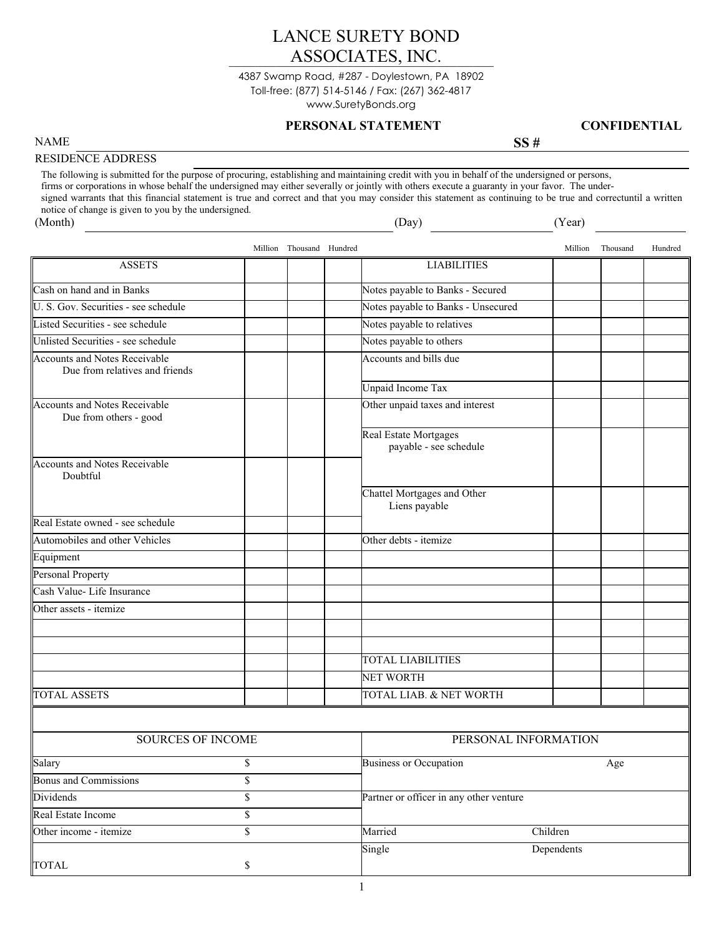# LANCE SURETY BOND<br>ASSOCIATES, INC. LANCE SURETY BOND

Toll-free: (877) 514-5146 / Fax: (267) 362-4817 www.SuretyBonds.org 4387 Swamp Road, #287 - Doylestown, PA 18902

### **PERSONAL STATEMENT CONFIDENTIAL**

NAME SS #

# RESIDENCE ADDRESS

The following is submitted for the purpose of procuring, establishing and maintaining credit with you in behalf of the undersigned or persons, firms or corporations in whose behalf the undersigned may either severally or jointly with others execute a guaranty in your favor. The undersigned warrants that this financial statement is true and correct and that you may consider this statement as continuing to be true and correctuntil a written notice of change is given to you by the undersigned. (Month) (Day) (Year)

|                                                                        |                         | Million Thousand Hundred |                                         |                                                        | Million    | Thousand | Hundred |  |
|------------------------------------------------------------------------|-------------------------|--------------------------|-----------------------------------------|--------------------------------------------------------|------------|----------|---------|--|
| <b>ASSETS</b>                                                          |                         |                          |                                         | <b>LIABILITIES</b>                                     |            |          |         |  |
| Cash on hand and in Banks                                              |                         |                          |                                         | Notes payable to Banks - Secured                       |            |          |         |  |
| U. S. Gov. Securities - see schedule                                   |                         |                          |                                         | Notes payable to Banks - Unsecured                     |            |          |         |  |
| Listed Securities - see schedule                                       |                         |                          |                                         | Notes payable to relatives                             |            |          |         |  |
| Unlisted Securities - see schedule                                     |                         |                          |                                         | Notes payable to others                                |            |          |         |  |
| <b>Accounts and Notes Receivable</b><br>Due from relatives and friends |                         |                          |                                         | Accounts and bills due                                 |            |          |         |  |
|                                                                        |                         |                          |                                         | <b>Unpaid Income Tax</b>                               |            |          |         |  |
| <b>Accounts and Notes Receivable</b><br>Due from others - good         |                         |                          |                                         | Other unpaid taxes and interest                        |            |          |         |  |
|                                                                        |                         |                          |                                         | <b>Real Estate Mortgages</b><br>payable - see schedule |            |          |         |  |
| <b>Accounts and Notes Receivable</b><br>Doubtful                       |                         |                          |                                         |                                                        |            |          |         |  |
|                                                                        |                         |                          |                                         | Chattel Mortgages and Other<br>Liens payable           |            |          |         |  |
| Real Estate owned - see schedule                                       |                         |                          |                                         |                                                        |            |          |         |  |
| Automobiles and other Vehicles                                         |                         |                          |                                         | Other debts - itemize                                  |            |          |         |  |
| Equipment                                                              |                         |                          |                                         |                                                        |            |          |         |  |
| Personal Property                                                      |                         |                          |                                         |                                                        |            |          |         |  |
| Cash Value-Life Insurance                                              |                         |                          |                                         |                                                        |            |          |         |  |
| Other assets - itemize                                                 |                         |                          |                                         |                                                        |            |          |         |  |
|                                                                        |                         |                          |                                         |                                                        |            |          |         |  |
|                                                                        |                         |                          |                                         |                                                        |            |          |         |  |
|                                                                        |                         |                          | <b>TOTAL LIABILITIES</b>                |                                                        |            |          |         |  |
|                                                                        |                         |                          |                                         | <b>NET WORTH</b>                                       |            |          |         |  |
| <b>TOTAL ASSETS</b>                                                    |                         |                          |                                         | TOTAL LIAB. & NET WORTH                                |            |          |         |  |
|                                                                        |                         |                          |                                         |                                                        |            |          |         |  |
| <b>SOURCES OF INCOME</b>                                               |                         |                          |                                         | PERSONAL INFORMATION                                   |            |          |         |  |
| Salary                                                                 | \$                      |                          |                                         | <b>Business or Occupation</b>                          |            | Age      |         |  |
| <b>Bonus and Commissions</b>                                           | \$                      |                          |                                         |                                                        |            |          |         |  |
| <b>Dividends</b>                                                       | \$                      |                          | Partner or officer in any other venture |                                                        |            |          |         |  |
| Real Estate Income                                                     | $\overline{\mathbb{S}}$ |                          |                                         |                                                        |            |          |         |  |
| Other income - itemize                                                 | $\overline{\mathsf{S}}$ |                          |                                         | Married                                                | Children   |          |         |  |
| <b>TOTAL</b>                                                           | \$                      |                          |                                         | Single                                                 | Dependents |          |         |  |